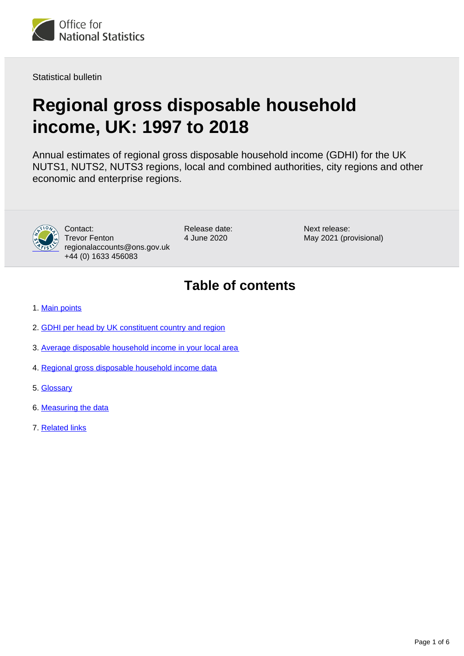<span id="page-0-0"></span>

Statistical bulletin

# **Regional gross disposable household income, UK: 1997 to 2018**

Annual estimates of regional gross disposable household income (GDHI) for the UK NUTS1, NUTS2, NUTS3 regions, local and combined authorities, city regions and other economic and enterprise regions.



Contact: Trevor Fenton regionalaccounts@ons.gov.uk +44 (0) 1633 456083

Release date: 4 June 2020

Next release: May 2021 (provisional)

# **Table of contents**

- 1. [Main points](#page-1-0)
- 2. [GDHI per head by UK constituent country and region](#page-1-1)
- 3. [Average disposable household income in your local area](#page-3-0)
- 4. [Regional gross disposable household income data](#page-3-1)
- 5. [Glossary](#page-3-2)
- 6. [Measuring the data](#page-3-3)
- 7. [Related links](#page-5-0)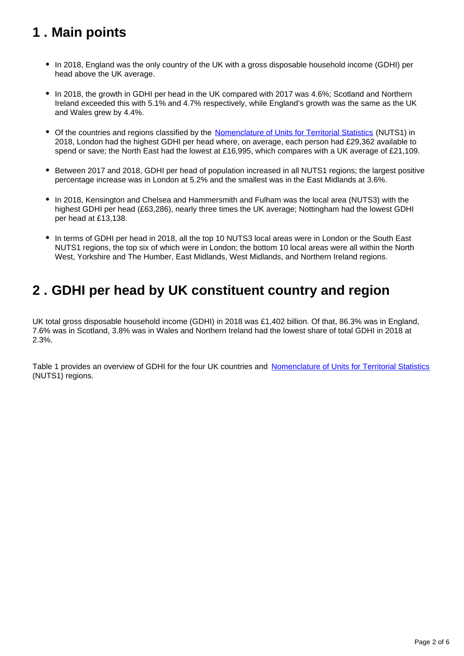# <span id="page-1-0"></span>**1 . Main points**

- In 2018, England was the only country of the UK with a gross disposable household income (GDHI) per head above the UK average.
- In 2018, the growth in GDHI per head in the UK compared with 2017 was 4.6%; Scotland and Northern Ireland exceeded this with 5.1% and 4.7% respectively, while England's growth was the same as the UK and Wales grew by 4.4%.
- Of the countries and regions classified by the [Nomenclature of Units for Territorial Statistics](https://www.ons.gov.uk/methodology/geography/geographicalproducts/namescodesandlookups/namesandcodeslistings/namesandcodesforeurostatgeography) (NUTS1) in 2018, London had the highest GDHI per head where, on average, each person had £29,362 available to spend or save; the North East had the lowest at £16,995, which compares with a UK average of £21,109.
- Between 2017 and 2018, GDHI per head of population increased in all NUTS1 regions; the largest positive percentage increase was in London at 5.2% and the smallest was in the East Midlands at 3.6%.
- In 2018, Kensington and Chelsea and Hammersmith and Fulham was the local area (NUTS3) with the highest GDHI per head (£63,286), nearly three times the UK average; Nottingham had the lowest GDHI per head at £13,138.
- In terms of GDHI per head in 2018, all the top 10 NUTS3 local areas were in London or the South East NUTS1 regions, the top six of which were in London; the bottom 10 local areas were all within the North West, Yorkshire and The Humber, East Midlands, West Midlands, and Northern Ireland regions.

# <span id="page-1-1"></span>**2 . GDHI per head by UK constituent country and region**

UK total gross disposable household income (GDHI) in 2018 was £1,402 billion. Of that, 86.3% was in England, 7.6% was in Scotland, 3.8% was in Wales and Northern Ireland had the lowest share of total GDHI in 2018 at 2.3%.

Table 1 provides an overview of GDHI for the four UK countries and [Nomenclature of Units for Territorial Statistics](https://www.ons.gov.uk/methodology/geography/geographicalproducts/namescodesandlookups/namesandcodeslistings/namesandcodesforeurostatgeography) (NUTS1) regions.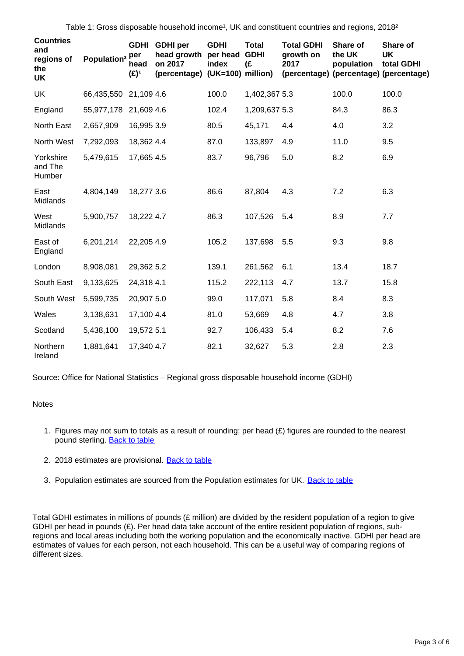Table 1: Gross disposable household income<sup>1</sup>, UK and constituent countries and regions, 2018<sup>2</sup>

| <b>Countries</b><br>and<br>regions of<br>the<br>UK | Population <sup>3</sup> Per | <b>GDHI</b><br>head<br>$(E)^1$ | <b>GDHI</b> per<br>head growth<br>on 2017<br>(percentage) | <b>GDHI</b><br>per head<br>index<br>$(UK=100)$ million) | <b>Total</b><br><b>GDHI</b><br>(£ | <b>Total GDHI</b><br>growth on<br>2017 | Share of<br>the UK<br>population<br>(percentage) (percentage) (percentage) | Share of<br><b>UK</b><br>total GDHI |
|----------------------------------------------------|-----------------------------|--------------------------------|-----------------------------------------------------------|---------------------------------------------------------|-----------------------------------|----------------------------------------|----------------------------------------------------------------------------|-------------------------------------|
| UK                                                 | 66,435,550                  | 21,109 4.6                     |                                                           | 100.0                                                   | 1,402,367 5.3                     |                                        | 100.0                                                                      | 100.0                               |
| England                                            | 55,977,178                  | 21,609 4.6                     |                                                           | 102.4                                                   | 1,209,637 5.3                     |                                        | 84.3                                                                       | 86.3                                |
| North East                                         | 2,657,909                   | 16,995 3.9                     |                                                           | 80.5                                                    | 45,171                            | 4.4                                    | 4.0                                                                        | 3.2                                 |
| North West                                         | 7,292,093                   | 18,362 4.4                     |                                                           | 87.0                                                    | 133,897                           | 4.9                                    | 11.0                                                                       | 9.5                                 |
| Yorkshire<br>and The<br>Humber                     | 5,479,615                   | 17,665 4.5                     |                                                           | 83.7                                                    | 96,796                            | 5.0                                    | 8.2                                                                        | 6.9                                 |
| East<br>Midlands                                   | 4,804,149                   | 18,277 3.6                     |                                                           | 86.6                                                    | 87,804                            | 4.3                                    | 7.2                                                                        | 6.3                                 |
| West<br>Midlands                                   | 5,900,757                   | 18,222 4.7                     |                                                           | 86.3                                                    | 107,526                           | 5.4                                    | 8.9                                                                        | 7.7                                 |
| East of<br>England                                 | 6,201,214                   | 22,205 4.9                     |                                                           | 105.2                                                   | 137,698                           | 5.5                                    | 9.3                                                                        | 9.8                                 |
| London                                             | 8,908,081                   | 29,362 5.2                     |                                                           | 139.1                                                   | 261,562                           | 6.1                                    | 13.4                                                                       | 18.7                                |
| South East                                         | 9,133,625                   | 24,318 4.1                     |                                                           | 115.2                                                   | 222,113                           | 4.7                                    | 13.7                                                                       | 15.8                                |
| South West                                         | 5,599,735                   | 20,907 5.0                     |                                                           | 99.0                                                    | 117,071                           | 5.8                                    | 8.4                                                                        | 8.3                                 |
| Wales                                              | 3,138,631                   | 17,100 4.4                     |                                                           | 81.0                                                    | 53,669                            | 4.8                                    | 4.7                                                                        | 3.8                                 |
| Scotland                                           | 5,438,100                   | 19,572 5.1                     |                                                           | 92.7                                                    | 106,433                           | 5.4                                    | 8.2                                                                        | 7.6                                 |
| Northern<br>Ireland                                | 1,881,641                   | 17,340 4.7                     |                                                           | 82.1                                                    | 32,627                            | 5.3                                    | 2.8                                                                        | 2.3                                 |

Source: Office for National Statistics – Regional gross disposable household income (GDHI)

#### Notes

- 1. Figures may not sum to totals as a result of rounding; per head (£) figures are rounded to the nearest pound sterling. [Back to table](#page-0-0)
- 2. 2018 estimates are provisional. **[Back to table](#page-0-0)**
- 3. Population estimates are sourced from the Population estimates for UK. **[Back to table](#page-0-0)**

Total GDHI estimates in millions of pounds (£ million) are divided by the resident population of a region to give GDHI per head in pounds (£). Per head data take account of the entire resident population of regions, subregions and local areas including both the working population and the economically inactive. GDHI per head are estimates of values for each person, not each household. This can be a useful way of comparing regions of different sizes.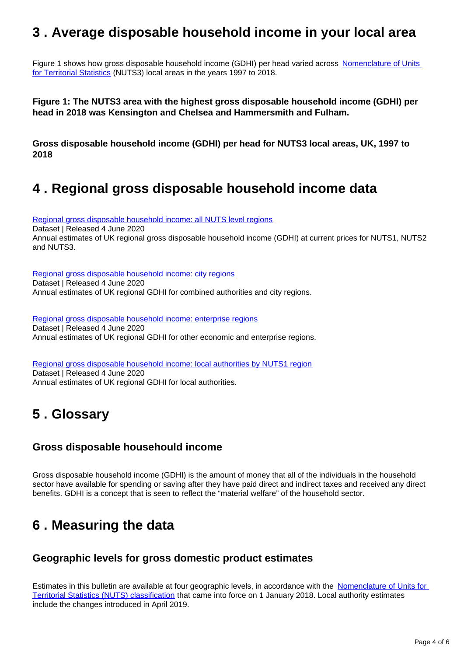### <span id="page-3-0"></span>**3 . Average disposable household income in your local area**

Figure 1 shows how gross disposable household income (GDHI) per head varied across Nomenclature of Units [for Territorial Statistics](https://www.ons.gov.uk/methodology/geography/geographicalproducts/namescodesandlookups/namesandcodeslistings/namesandcodesforeurostatgeography) (NUTS3) local areas in the years 1997 to 2018.

**Figure 1: The NUTS3 area with the highest gross disposable household income (GDHI) per head in 2018 was Kensington and Chelsea and Hammersmith and Fulham.**

**Gross disposable household income (GDHI) per head for NUTS3 local areas, UK, 1997 to 2018**

### <span id="page-3-1"></span>**4 . Regional gross disposable household income data**

[Regional gross disposable household income: all NUTS level regions](https://www.ons.gov.uk/economy/regionalaccounts/grossdisposablehouseholdincome/datasets/regionalgrossdisposablehouseholdincomegdhi) Dataset | Released 4 June 2020 Annual estimates of UK regional gross disposable household income (GDHI) at current prices for NUTS1, NUTS2 and NUTS3.

[Regional gross disposable household income: city regions](https://www.ons.gov.uk/economy/regionalaccounts/grossdisposablehouseholdincome/datasets/regionalgrossdisposablehouseholdincomebycombinedauthorityandcityregionsoftheuk) Dataset | Released 4 June 2020 Annual estimates of UK regional GDHI for combined authorities and city regions.

[Regional gross disposable household income: enterprise regions](https://www.ons.gov.uk/economy/regionalaccounts/grossdisposablehouseholdincome/datasets/regionalgrossdisposablehouseholdincomebyothereconomicandenterpriseregionsoftheuk) Dataset | Released 4 June 2020 Annual estimates of UK regional GDHI for other economic and enterprise regions.

[Regional gross disposable household income: local authorities by NUTS1 region](https://www.ons.gov.uk/economy/regionalaccounts/grossdisposablehouseholdincome/datasets/regionalgrossdisposablehouseholdincomebylocalauthoritiesbynuts1region) Dataset | Released 4 June 2020 Annual estimates of UK regional GDHI for local authorities.

### <span id="page-3-2"></span>**5 . Glossary**

#### **Gross disposable househould income**

Gross disposable household income (GDHI) is the amount of money that all of the individuals in the household sector have available for spending or saving after they have paid direct and indirect taxes and received any direct benefits. GDHI is a concept that is seen to reflect the "material welfare" of the household sector.

### <span id="page-3-3"></span>**6 . Measuring the data**

#### **Geographic levels for gross domestic product estimates**

Estimates in this bulletin are available at four geographic levels, in accordance with the [Nomenclature of Units for](https://www.ons.gov.uk/methodology/geography/geographicalproducts/namescodesandlookups/namesandcodeslistings/namesandcodesforeurostatgeography)  [Territorial Statistics \(NUTS\) classification](https://www.ons.gov.uk/methodology/geography/geographicalproducts/namescodesandlookups/namesandcodeslistings/namesandcodesforeurostatgeography) that came into force on 1 January 2018. Local authority estimates include the changes introduced in April 2019.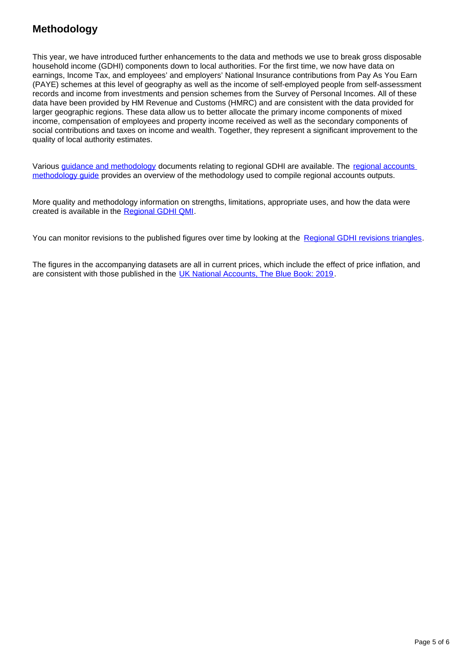### **Methodology**

This year, we have introduced further enhancements to the data and methods we use to break gross disposable household income (GDHI) components down to local authorities. For the first time, we now have data on earnings, Income Tax, and employees' and employers' National Insurance contributions from Pay As You Earn (PAYE) schemes at this level of geography as well as the income of self-employed people from self-assessment records and income from investments and pension schemes from the Survey of Personal Incomes. All of these data have been provided by HM Revenue and Customs (HMRC) and are consistent with the data provided for larger geographic regions. These data allow us to better allocate the primary income components of mixed income, compensation of employees and property income received as well as the secondary components of social contributions and taxes on income and wealth. Together, they represent a significant improvement to the quality of local authority estimates.

Various [guidance and methodology](https://www.ons.gov.uk/economy/regionalaccounts/grossdisposablehouseholdincome/methodologies/regionalaccounts) documents relating to regional GDHI are available. The [regional accounts](https://www.ons.gov.uk/economy/regionalaccounts/grossdisposablehouseholdincome/methodologies/regionalaccountsmethodologyguidejune2019)  [methodology guide](https://www.ons.gov.uk/economy/regionalaccounts/grossdisposablehouseholdincome/methodologies/regionalaccountsmethodologyguidejune2019) provides an overview of the methodology used to compile regional accounts outputs.

More quality and methodology information on strengths, limitations, appropriate uses, and how the data were created is available in the [Regional GDHI QMI.](https://www.ons.gov.uk/economy/regionalaccounts/grossdisposablehouseholdincome/methodologies/regionalgrossdisposablehouseholdincomeqmi)

You can monitor revisions to the published figures over time by looking at the [Regional GDHI revisions triangles.](https://www.ons.gov.uk/economy/regionalaccounts/grossdisposablehouseholdincome/datasets/revisionstrianglesregionalgdhi)

The figures in the accompanying datasets are all in current prices, which include the effect of price inflation, and are consistent with those published in the [UK National Accounts, The Blue Book: 2019.](https://www.ons.gov.uk/economy/grossdomesticproductgdp/compendium/unitedkingdomnationalaccountsthebluebook/2019)